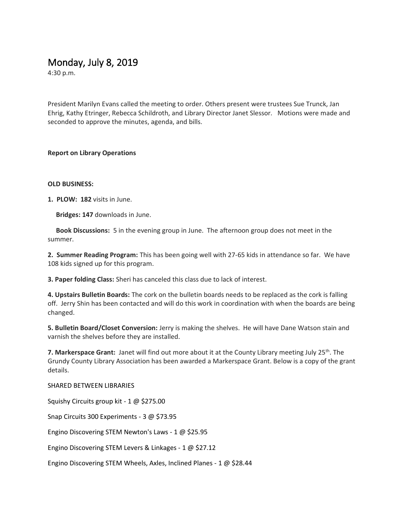## Monday, July 8, 2019

4:30 p.m.

President Marilyn Evans called the meeting to order. Others present were trustees Sue Trunck, Jan Ehrig, Kathy Etringer, Rebecca Schildroth, and Library Director Janet Slessor. Motions were made and seconded to approve the minutes, agenda, and bills.

### **Report on Library Operations**

### **OLD BUSINESS:**

**1. PLOW: 182** visits in June.

**Bridges: 147** downloads in June.

 **Book Discussions:** 5 in the evening group in June. The afternoon group does not meet in the summer.

**2. Summer Reading Program:** This has been going well with 27-65 kids in attendance so far. We have 108 kids signed up for this program.

**3. Paper folding Class:** Sheri has canceled this class due to lack of interest.

**4. Upstairs Bulletin Boards:** The cork on the bulletin boards needs to be replaced as the cork is falling off. Jerry Shin has been contacted and will do this work in coordination with when the boards are being changed.

**5. Bulletin Board/Closet Conversion:** Jerry is making the shelves. He will have Dane Watson stain and varnish the shelves before they are installed.

**7. Markerspace Grant:** Janet will find out more about it at the County Library meeting July 25<sup>th</sup>. The Grundy County Library Association has been awarded a Markerspace Grant. Below is a copy of the grant details.

#### SHARED BETWEEN LIBRARIES

Squishy Circuits group kit - 1 @ \$275.00

Snap Circuits 300 Experiments - 3 @ \$73.95

Engino Discovering STEM Newton's Laws - 1 @ \$25.95

Engino Discovering STEM Levers & Linkages - 1 @ \$27.12

Engino Discovering STEM Wheels, Axles, Inclined Planes - 1 @ \$28.44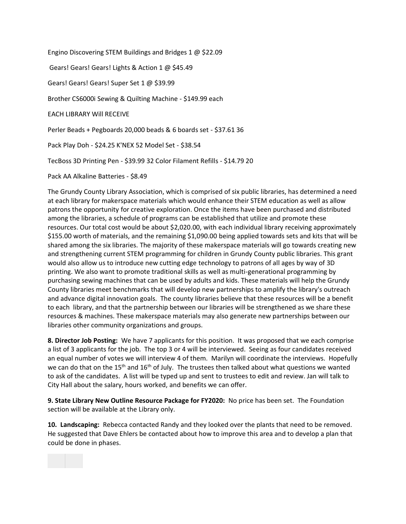Engino Discovering STEM Buildings and Bridges 1 @ \$22.09 Gears! Gears! Gears! Lights & Action 1 @ \$45.49 Gears! Gears! Gears! Super Set 1 @ \$39.99 Brother CS6000i Sewing & Quilting Machine - \$149.99 each EACH LIBRARY Will RECEIVE Perler Beads + Pegboards 20,000 beads & 6 boards set - \$37.61 36 Pack Play Doh - \$24.25 K'NEX 52 Model Set - \$38.54 TecBoss 3D Printing Pen - \$39.99 32 Color Filament Refills - \$14.79 20

Pack AA Alkaline Batteries - \$8.49

The Grundy County Library Association, which is comprised of six public libraries, has determined a need at each library for makerspace materials which would enhance their STEM education as well as allow patrons the opportunity for creative exploration. Once the items have been purchased and distributed among the libraries, a schedule of programs can be established that utilize and promote these resources. Our total cost would be about \$2,020.00, with each individual library receiving approximately \$155.00 worth of materials, and the remaining \$1,090.00 being applied towards sets and kits that will be shared among the six libraries. The majority of these makerspace materials will go towards creating new and strengthening current STEM programming for children in Grundy County public libraries. This grant would also allow us to introduce new cutting edge technology to patrons of all ages by way of 3D printing. We also want to promote traditional skills as well as multi-generational programming by purchasing sewing machines that can be used by adults and kids. These materials will help the Grundy County libraries meet benchmarks that will develop new partnerships to amplify the library's outreach and advance digital innovation goals. The county libraries believe that these resources will be a benefit to each library, and that the partnership between our libraries will be strengthened as we share these resources & machines. These makerspace materials may also generate new partnerships between our libraries other community organizations and groups.

**8. Director Job Posting:** We have 7 applicants for this position. It was proposed that we each comprise a list of 3 applicants for the job. The top 3 or 4 will be interviewed. Seeing as four candidates received an equal number of votes we will interview 4 of them. Marilyn will coordinate the interviews. Hopefully we can do that on the 15<sup>th</sup> and 16<sup>th</sup> of July. The trustees then talked about what questions we wanted to ask of the candidates. A list will be typed up and sent to trustees to edit and review. Jan will talk to City Hall about the salary, hours worked, and benefits we can offer.

**9. State Library New Outline Resource Package for FY2020:** No price has been set. The Foundation section will be available at the Library only.

**10. Landscaping:** Rebecca contacted Randy and they looked over the plants that need to be removed. He suggested that Dave Ehlers be contacted about how to improve this area and to develop a plan that could be done in phases.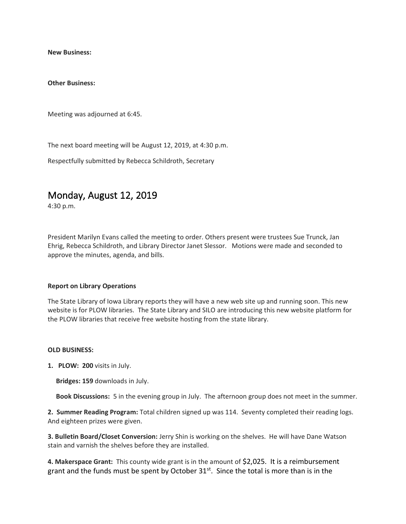**New Business:**

**Other Business:**

Meeting was adjourned at 6:45.

The next board meeting will be August 12, 2019, at 4:30 p.m.

Respectfully submitted by Rebecca Schildroth, Secretary

# Monday, August 12, 2019

4:30 p.m.

President Marilyn Evans called the meeting to order. Others present were trustees Sue Trunck, Jan Ehrig, Rebecca Schildroth, and Library Director Janet Slessor. Motions were made and seconded to approve the minutes, agenda, and bills.

#### **Report on Library Operations**

The State Library of Iowa Library reports they will have a new web site up and running soon. This new website is for PLOW libraries. The State Library and SILO are introducing this new website platform for the PLOW libraries that receive free website hosting from the state library.

#### **OLD BUSINESS:**

**1. PLOW: 200** visits in July.

**Bridges: 159** downloads in July.

**Book Discussions:** 5 in the evening group in July. The afternoon group does not meet in the summer.

**2. Summer Reading Program:** Total children signed up was 114. Seventy completed their reading logs. And eighteen prizes were given.

**3. Bulletin Board/Closet Conversion:** Jerry Shin is working on the shelves. He will have Dane Watson stain and varnish the shelves before they are installed.

**4. Makerspace Grant:** This county wide grant is in the amount of \$2,025. It is a reimbursement grant and the funds must be spent by October  $31<sup>st</sup>$ . Since the total is more than is in the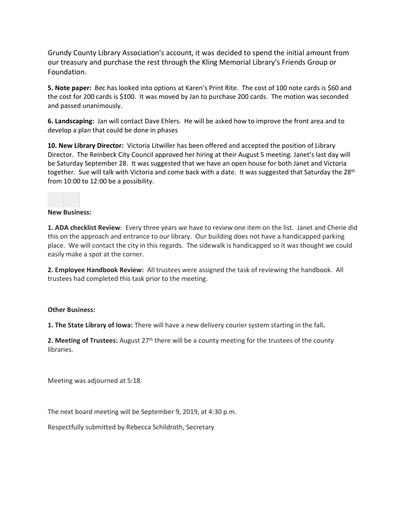Grundy County Library Association's account, it was decided to spend the initial amount from our treasury and purchase the rest through the Kling Memorial Library's Friends Group or Foundation.

**5. Note paper:** Bec has looked into options at Karen's Print Rite. The cost of 100 note cards is \$60 and the cost for 200 cards is \$100. It was moved by Jan to purchase 200 cards. The motion was seconded and passed unanimously.

**6. Landscaping:** Jan will contact Dave Ehlers. He will be asked how to improve the front area and to develop a plan that could be done in phases

**10. New Library Director:** Victoria Litwiller has been offered and accepted the position of Library Director. The Reinbeck City Council approved her hiring at their August 5 meeting. Janet's last day will be Saturday September 28. It was suggested that we have an open house for both Janet and Victoria together. Sue will talk with Victoria and come back with a date. It was suggested that Saturday the 28<sup>th</sup> from 10:00 to 12:00 be a possibility.

#### **New Business:**

**1. ADA checklist Review**: Every three years we have to review one item on the list. Janet and Cherie did this on the approach and entrance to our library. Our building does not have a handicapped parking place. We will contact the city in this regards. The sidewalk is handicapped so it was thought we could easily make a spot at the corner.

**2. Employee Handbook Review:** All trustees were assigned the task of reviewing the handbook. All trustees had completed this task prior to the meeting.

#### **Other Business:**

**1. The State Library of Iowa:** There will have a new delivery courier system starting in the fall**.** 

**2. Meeting of Trustees:** August 27<sup>th</sup> there will be a county meeting for the trustees of the county libraries.

Meeting was adjourned at 5:18.

The next board meeting will be September 9, 2019, at 4:30 p.m.

Respectfully submitted by Rebecca Schildroth, Secretary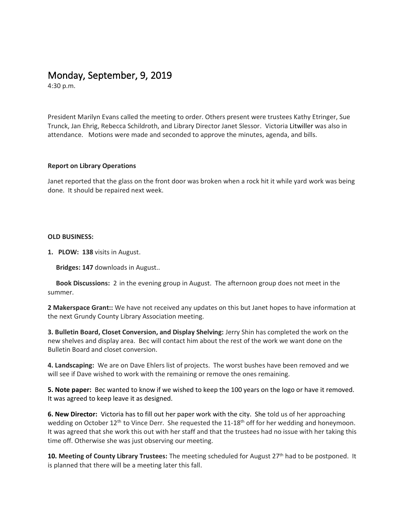# Monday, September, 9, 2019

4:30 p.m.

President Marilyn Evans called the meeting to order. Others present were trustees Kathy Etringer, Sue Trunck, Jan Ehrig, Rebecca Schildroth, and Library Director Janet Slessor. Victoria Litwiller was also in attendance. Motions were made and seconded to approve the minutes, agenda, and bills.

### **Report on Library Operations**

Janet reported that the glass on the front door was broken when a rock hit it while yard work was being done. It should be repaired next week.

#### **OLD BUSINESS:**

**1. PLOW: 138** visits in August.

**Bridges: 147** downloads in August..

 **Book Discussions:** 2 in the evening group in August. The afternoon group does not meet in the summer.

**2 Makerspace Grant::** We have not received any updates on this but Janet hopes to have information at the next Grundy County Library Association meeting.

**3. Bulletin Board, Closet Conversion, and Display Shelving:** Jerry Shin has completed the work on the new shelves and display area. Bec will contact him about the rest of the work we want done on the Bulletin Board and closet conversion.

**4. Landscaping:** We are on Dave Ehlers list of projects. The worst bushes have been removed and we will see if Dave wished to work with the remaining or remove the ones remaining.

**5. Note paper:** Bec wanted to know if we wished to keep the 100 years on the logo or have it removed. It was agreed to keep leave it as designed.

**6. New Director:** Victoria has to fill out her paper work with the city. She told us of her approaching wedding on October 12<sup>th</sup> to Vince Derr. She requested the 11-18<sup>th</sup> off for her wedding and honeymoon. It was agreed that she work this out with her staff and that the trustees had no issue with her taking this time off. Otherwise she was just observing our meeting.

**10. Meeting of County Library Trustees:** The meeting scheduled for August 27th had to be postponed. It is planned that there will be a meeting later this fall.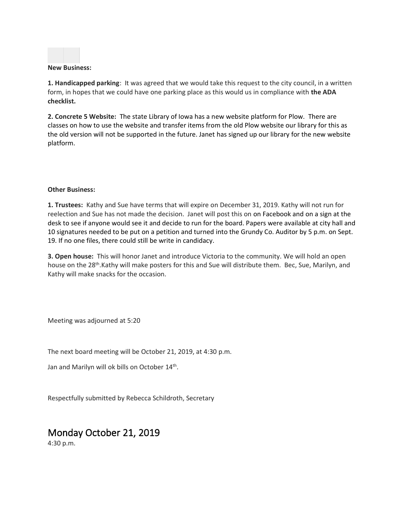

#### **New Business:**

**1. Handicapped parking**: It was agreed that we would take this request to the city council, in a written form, in hopes that we could have one parking place as this would us in compliance with **the ADA checklist.**

**2. Concrete 5 Website:** The state Library of Iowa has a new website platform for Plow. There are classes on how to use the website and transfer items from the old Plow website our library for this as the old version will not be supported in the future. Janet has signed up our library for the new website platform.

#### **Other Business:**

**1. Trustees:** Kathy and Sue have terms that will expire on December 31, 2019. Kathy will not run for reelection and Sue has not made the decision. Janet will post this on on Facebook and on a sign at the desk to see if anyone would see it and decide to run for the board. Papers were available at city hall and 10 signatures needed to be put on a petition and turned into the Grundy Co. Auditor by 5 p.m. on Sept. 19. If no one files, there could still be write in candidacy.

**3. Open house:** This will honor Janet and introduce Victoria to the community. We will hold an open house on the 28<sup>th</sup>.Kathy will make posters for this and Sue will distribute them. Bec, Sue, Marilyn, and Kathy will make snacks for the occasion.

Meeting was adjourned at 5:20

The next board meeting will be October 21, 2019, at 4:30 p.m.

Jan and Marilyn will ok bills on October 14<sup>th</sup>.

Respectfully submitted by Rebecca Schildroth, Secretary

## Monday October 21, 2019

4:30 p.m.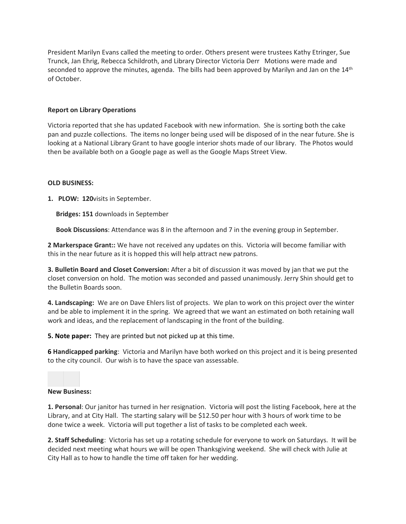President Marilyn Evans called the meeting to order. Others present were trustees Kathy Etringer, Sue Trunck, Jan Ehrig, Rebecca Schildroth, and Library Director Victoria Derr Motions were made and seconded to approve the minutes, agenda. The bills had been approved by Marilyn and Jan on the  $14<sup>th</sup>$ of October.

### **Report on Library Operations**

Victoria reported that she has updated Facebook with new information. She is sorting both the cake pan and puzzle collections. The items no longer being used will be disposed of in the near future. She is looking at a National Library Grant to have google interior shots made of our library. The Photos would then be available both on a Google page as well as the Google Maps Street View.

### **OLD BUSINESS:**

**1. PLOW: 120**visits in September.

**Bridges: 151** downloads in September

**Book Discussions**: Attendance was 8 in the afternoon and 7 in the evening group in September.

**2 Markerspace Grant::** We have not received any updates on this. Victoria will become familiar with this in the near future as it is hopped this will help attract new patrons.

**3. Bulletin Board and Closet Conversion:** After a bit of discussion it was moved by jan that we put the closet conversion on hold. The motion was seconded and passed unanimously. Jerry Shin should get to the Bulletin Boards soon.

**4. Landscaping:** We are on Dave Ehlers list of projects. We plan to work on this project over the winter and be able to implement it in the spring. We agreed that we want an estimated on both retaining wall work and ideas, and the replacement of landscaping in the front of the building.

**5. Note paper:** They are printed but not picked up at this time.

**6 Handicapped parking**: Victoria and Marilyn have both worked on this project and it is being presented to the city council. Our wish is to have the space van assessable.

#### **New Business:**

**1. Personal**: Our janitor has turned in her resignation. Victoria will post the listing Facebook, here at the Library, and at City Hall. The starting salary will be \$12.50 per hour with 3 hours of work time to be done twice a week. Victoria will put together a list of tasks to be completed each week.

**2. Staff Scheduling**: Victoria has set up a rotating schedule for everyone to work on Saturdays. It will be decided next meeting what hours we will be open Thanksgiving weekend. She will check with Julie at City Hall as to how to handle the time off taken for her wedding.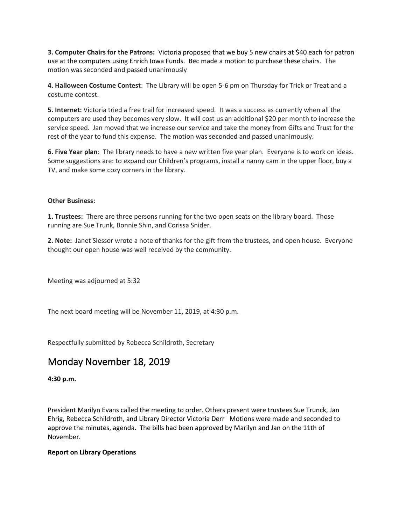**3. Computer Chairs for the Patrons:** Victoria proposed that we buy 5 new chairs at \$40 each for patron use at the computers using Enrich Iowa Funds. Bec made a motion to purchase these chairs. The motion was seconded and passed unanimously

**4. Halloween Costume Contest**: The Library will be open 5-6 pm on Thursday for Trick or Treat and a costume contest.

**5. Internet:** Victoria tried a free trail for increased speed. It was a success as currently when all the computers are used they becomes very slow. It will cost us an additional \$20 per month to increase the service speed. Jan moved that we increase our service and take the money from Gifts and Trust for the rest of the year to fund this expense. The motion was seconded and passed unanimously.

**6. Five Year plan**: The library needs to have a new written five year plan. Everyone is to work on ideas. Some suggestions are: to expand our Children's programs, install a nanny cam in the upper floor, buy a TV, and make some cozy corners in the library.

### **Other Business:**

**1. Trustees:** There are three persons running for the two open seats on the library board. Those running are Sue Trunk, Bonnie Shin, and Corissa Snider.

**2. Note:** Janet Slessor wrote a note of thanks for the gift from the trustees, and open house. Everyone thought our open house was well received by the community.

Meeting was adjourned at 5:32

The next board meeting will be November 11, 2019, at 4:30 p.m.

Respectfully submitted by Rebecca Schildroth, Secretary

## Monday November 18, 2019

**4:30 p.m.**

President Marilyn Evans called the meeting to order. Others present were trustees Sue Trunck, Jan Ehrig, Rebecca Schildroth, and Library Director Victoria Derr Motions were made and seconded to approve the minutes, agenda. The bills had been approved by Marilyn and Jan on the 11th of November.

#### **Report on Library Operations**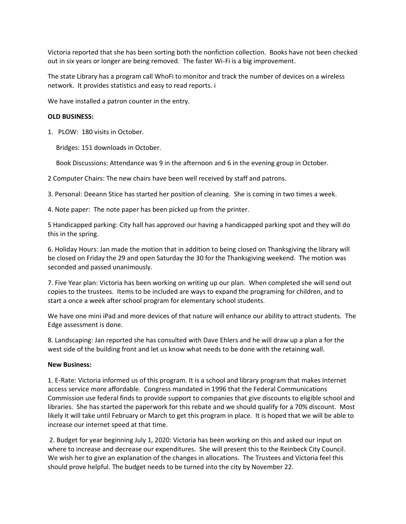Victoria reported that she has been sorting both the nonfiction collection. Books have not been checked out in six years or longer are being removed. The faster Wi-Fi is a big improvement.

The state Library has a program call WhoFi to monitor and track the number of devices on a wireless network. It provides statistics and easy to read reports. i

We have installed a patron counter in the entry.

#### **OLD BUSINESS:**

1. PLOW: 180 visits in October.

Bridges: 151 downloads in October.

Book Discussions: Attendance was 9 in the afternoon and 6 in the evening group in October.

2 Computer Chairs: The new chairs have been well received by staff and patrons.

3. Personal: Deeann Stice has started her position of cleaning. She is coming in two times a week.

4. Note paper: The note paper has been picked up from the printer.

5 Handicapped parking: City hall has approved our having a handicapped parking spot and they will do this in the spring.

6. Holiday Hours: Jan made the motion that in addition to being closed on Thanksgiving the library will be closed on Friday the 29 and open Saturday the 30 for the Thanksgiving weekend. The motion was seconded and passed unanimously.

7. Five Year plan: Victoria has been working on writing up our plan. When completed she will send out copies to the trustees. Items to be included are ways to expand the programing for children, and to start a once a week after school program for elementary school students.

We have one mini iPad and more devices of that nature will enhance our ability to attract students. The Edge assessment is done.

8. Landscaping: Jan reported she has consulted with Dave Ehlers and he will draw up a plan a for the west side of the building front and let us know what needs to be done with the retaining wall.

#### **New Business:**

1. E-Rate: Victoria informed us of this program. It is a school and library program that makes Internet access service more affordable. Congress mandated in 1996 that the Federal Communications Commission use federal finds to provide support to companies that give discounts to eligible school and libraries. She has started the paperwork for this rebate and we should qualify for a 70% discount. Most likely it will take until February or March to get this program in place. It is hoped that we will be able to increase our internet speed at that time.

2. Budget for year beginning July 1, 2020: Victoria has been working on this and asked our input on where to increase and decrease our expenditures. She will present this to the Reinbeck City Council. We wish her to give an explanation of the changes in allocations. The Trustees and Victoria feel this should prove helpful. The budget needs to be turned into the city by November 22.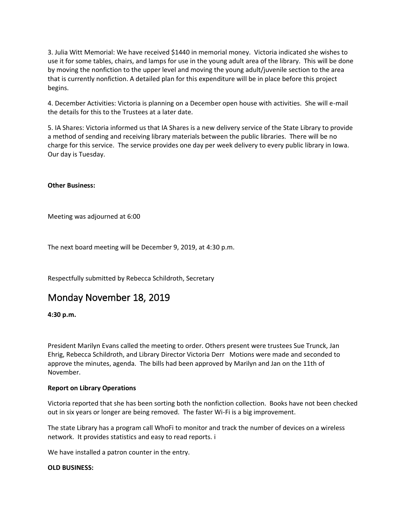3. Julia Witt Memorial: We have received \$1440 in memorial money. Victoria indicated she wishes to use it for some tables, chairs, and lamps for use in the young adult area of the library. This will be done by moving the nonfiction to the upper level and moving the young adult/juvenile section to the area that is currently nonfiction. A detailed plan for this expenditure will be in place before this project begins.

4. December Activities: Victoria is planning on a December open house with activities. She will e-mail the details for this to the Trustees at a later date.

5. IA Shares: Victoria informed us that IA Shares is a new delivery service of the State Library to provide a method of sending and receiving library materials between the public libraries. There will be no charge for this service. The service provides one day per week delivery to every public library in Iowa. Our day is Tuesday.

### **Other Business:**

Meeting was adjourned at 6:00

The next board meeting will be December 9, 2019, at 4:30 p.m.

Respectfully submitted by Rebecca Schildroth, Secretary

## Monday November 18, 2019

**4:30 p.m.**

President Marilyn Evans called the meeting to order. Others present were trustees Sue Trunck, Jan Ehrig, Rebecca Schildroth, and Library Director Victoria Derr Motions were made and seconded to approve the minutes, agenda. The bills had been approved by Marilyn and Jan on the 11th of November.

#### **Report on Library Operations**

Victoria reported that she has been sorting both the nonfiction collection. Books have not been checked out in six years or longer are being removed. The faster Wi-Fi is a big improvement.

The state Library has a program call WhoFi to monitor and track the number of devices on a wireless network. It provides statistics and easy to read reports. i

We have installed a patron counter in the entry.

#### **OLD BUSINESS:**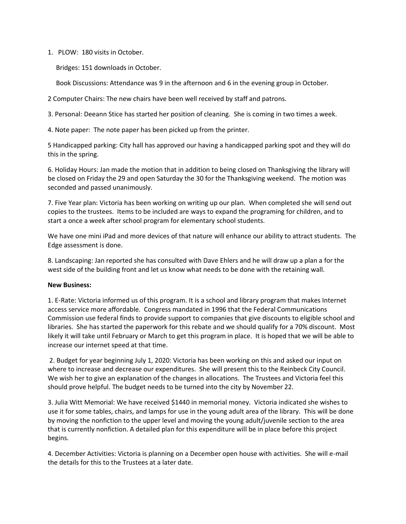1. PLOW: 180 visits in October.

Bridges: 151 downloads in October.

Book Discussions: Attendance was 9 in the afternoon and 6 in the evening group in October.

2 Computer Chairs: The new chairs have been well received by staff and patrons.

3. Personal: Deeann Stice has started her position of cleaning. She is coming in two times a week.

4. Note paper: The note paper has been picked up from the printer.

5 Handicapped parking: City hall has approved our having a handicapped parking spot and they will do this in the spring.

6. Holiday Hours: Jan made the motion that in addition to being closed on Thanksgiving the library will be closed on Friday the 29 and open Saturday the 30 for the Thanksgiving weekend. The motion was seconded and passed unanimously.

7. Five Year plan: Victoria has been working on writing up our plan. When completed she will send out copies to the trustees. Items to be included are ways to expand the programing for children, and to start a once a week after school program for elementary school students.

We have one mini iPad and more devices of that nature will enhance our ability to attract students. The Edge assessment is done.

8. Landscaping: Jan reported she has consulted with Dave Ehlers and he will draw up a plan a for the west side of the building front and let us know what needs to be done with the retaining wall.

#### **New Business:**

1. E-Rate: Victoria informed us of this program. It is a school and library program that makes Internet access service more affordable. Congress mandated in 1996 that the Federal Communications Commission use federal finds to provide support to companies that give discounts to eligible school and libraries. She has started the paperwork for this rebate and we should qualify for a 70% discount. Most likely it will take until February or March to get this program in place. It is hoped that we will be able to increase our internet speed at that time.

2. Budget for year beginning July 1, 2020: Victoria has been working on this and asked our input on where to increase and decrease our expenditures. She will present this to the Reinbeck City Council. We wish her to give an explanation of the changes in allocations. The Trustees and Victoria feel this should prove helpful. The budget needs to be turned into the city by November 22.

3. Julia Witt Memorial: We have received \$1440 in memorial money. Victoria indicated she wishes to use it for some tables, chairs, and lamps for use in the young adult area of the library. This will be done by moving the nonfiction to the upper level and moving the young adult/juvenile section to the area that is currently nonfiction. A detailed plan for this expenditure will be in place before this project begins.

4. December Activities: Victoria is planning on a December open house with activities. She will e-mail the details for this to the Trustees at a later date.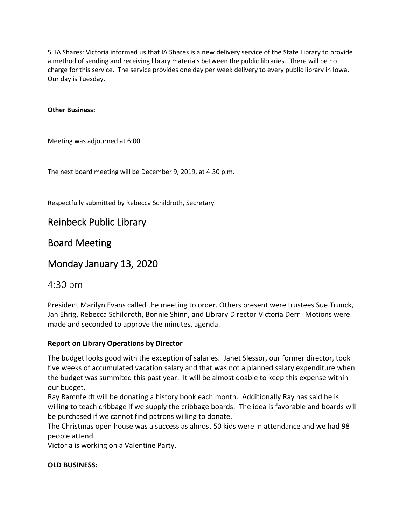5. IA Shares: Victoria informed us that IA Shares is a new delivery service of the State Library to provide a method of sending and receiving library materials between the public libraries. There will be no charge for this service. The service provides one day per week delivery to every public library in Iowa. Our day is Tuesday.

### **Other Business:**

Meeting was adjourned at 6:00

The next board meeting will be December 9, 2019, at 4:30 p.m.

Respectfully submitted by Rebecca Schildroth, Secretary

## Reinbeck Public Library

## Board Meeting

## Monday January 13, 2020

## 4:30 pm

President Marilyn Evans called the meeting to order. Others present were trustees Sue Trunck, Jan Ehrig, Rebecca Schildroth, Bonnie Shinn, and Library Director Victoria Derr Motions were made and seconded to approve the minutes, agenda.

### **Report on Library Operations by Director**

The budget looks good with the exception of salaries. Janet Slessor, our former director, took five weeks of accumulated vacation salary and that was not a planned salary expenditure when the budget was summited this past year. It will be almost doable to keep this expense within our budget.

Ray Ramnfeldt will be donating a history book each month. Additionally Ray has said he is willing to teach cribbage if we supply the cribbage boards. The idea is favorable and boards will be purchased if we cannot find patrons willing to donate.

The Christmas open house was a success as almost 50 kids were in attendance and we had 98 people attend.

Victoria is working on a Valentine Party.

### **OLD BUSINESS:**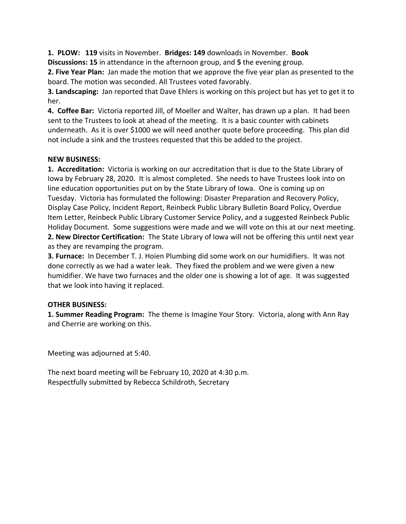**1. PLOW: 119** visits in November. **Bridges: 149** downloads in November. **Book** 

**Discussions: 15** in attendance in the afternoon group, and **5** the evening group.

**2. Five Year Plan:** Jan made the motion that we approve the five year plan as presented to the board. The motion was seconded. All Trustees voted favorably.

**3. Landscaping:** Jan reported that Dave Ehlers is working on this project but has yet to get it to her.

**4. Coffee Bar:** Victoria reported Jill, of Moeller and Walter, has drawn up a plan. It had been sent to the Trustees to look at ahead of the meeting. It is a basic counter with cabinets underneath. As it is over \$1000 we will need another quote before proceeding. This plan did not include a sink and the trustees requested that this be added to the project.

### **NEW BUSINESS:**

**1. Accreditation:** Victoria is working on our accreditation that is due to the State Library of Iowa by February 28, 2020. It is almost completed. She needs to have Trustees look into on line education opportunities put on by the State Library of Iowa. One is coming up on Tuesday. Victoria has formulated the following: Disaster Preparation and Recovery Policy, Display Case Policy, Incident Report, Reinbeck Public Library Bulletin Board Policy, Overdue Item Letter, Reinbeck Public Library Customer Service Policy, and a suggested Reinbeck Public Holiday Document. Some suggestions were made and we will vote on this at our next meeting. **2. New Director Certification:** The State Library of Iowa will not be offering this until next year as they are revamping the program.

**3. Furnace:** In December T. J. Hoien Plumbing did some work on our humidifiers. It was not done correctly as we had a water leak. They fixed the problem and we were given a new humidifier. We have two furnaces and the older one is showing a lot of age. It was suggested that we look into having it replaced.

### **OTHER BUSINESS:**

**1. Summer Reading Program:** The theme is Imagine Your Story. Victoria, along with Ann Ray and Cherrie are working on this.

Meeting was adjourned at 5:40.

The next board meeting will be February 10, 2020 at 4:30 p.m. Respectfully submitted by Rebecca Schildroth, Secretary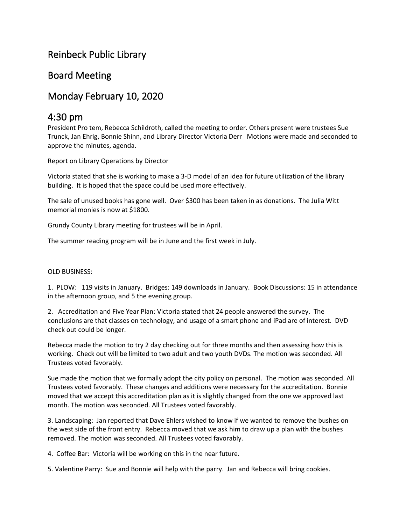# Reinbeck Public Library

## Board Meeting

# Monday February 10, 2020

## 4:30 pm

President Pro tem, Rebecca Schildroth, called the meeting to order. Others present were trustees Sue Trunck, Jan Ehrig, Bonnie Shinn, and Library Director Victoria Derr Motions were made and seconded to approve the minutes, agenda.

Report on Library Operations by Director

Victoria stated that she is working to make a 3-D model of an idea for future utilization of the library building. It is hoped that the space could be used more effectively.

The sale of unused books has gone well. Over \$300 has been taken in as donations. The Julia Witt memorial monies is now at \$1800.

Grundy County Library meeting for trustees will be in April.

The summer reading program will be in June and the first week in July.

### OLD BUSINESS:

1. PLOW: 119 visits in January. Bridges: 149 downloads in January. Book Discussions: 15 in attendance in the afternoon group, and 5 the evening group.

2. Accreditation and Five Year Plan: Victoria stated that 24 people answered the survey. The conclusions are that classes on technology, and usage of a smart phone and iPad are of interest. DVD check out could be longer.

Rebecca made the motion to try 2 day checking out for three months and then assessing how this is working. Check out will be limited to two adult and two youth DVDs. The motion was seconded. All Trustees voted favorably.

Sue made the motion that we formally adopt the city policy on personal. The motion was seconded. All Trustees voted favorably. These changes and additions were necessary for the accreditation. Bonnie moved that we accept this accreditation plan as it is slightly changed from the one we approved last month. The motion was seconded. All Trustees voted favorably.

3. Landscaping: Jan reported that Dave Ehlers wished to know if we wanted to remove the bushes on the west side of the front entry. Rebecca moved that we ask him to draw up a plan with the bushes removed. The motion was seconded. All Trustees voted favorably.

4. Coffee Bar: Victoria will be working on this in the near future.

5. Valentine Parry: Sue and Bonnie will help with the parry. Jan and Rebecca will bring cookies.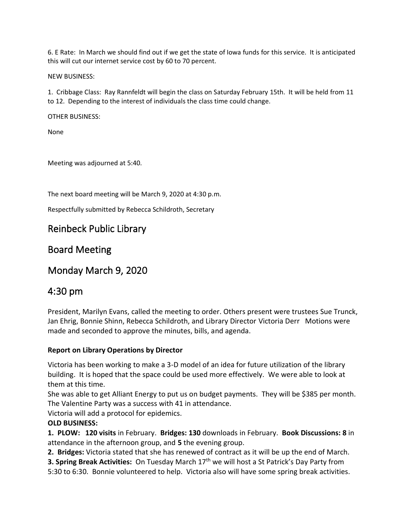6. E Rate: In March we should find out if we get the state of Iowa funds for this service. It is anticipated this will cut our internet service cost by 60 to 70 percent.

NEW BUSINESS:

1. Cribbage Class: Ray Rannfeldt will begin the class on Saturday February 15th. It will be held from 11 to 12. Depending to the interest of individuals the class time could change.

OTHER BUSINESS:

None

Meeting was adjourned at 5:40.

The next board meeting will be March 9, 2020 at 4:30 p.m.

Respectfully submitted by Rebecca Schildroth, Secretary

## Reinbeck Public Library

## Board Meeting

Monday March 9, 2020

## 4:30 pm

President, Marilyn Evans, called the meeting to order. Others present were trustees Sue Trunck, Jan Ehrig, Bonnie Shinn, Rebecca Schildroth, and Library Director Victoria Derr Motions were made and seconded to approve the minutes, bills, and agenda.

### **Report on Library Operations by Director**

Victoria has been working to make a 3-D model of an idea for future utilization of the library building. It is hoped that the space could be used more effectively. We were able to look at them at this time.

She was able to get Alliant Energy to put us on budget payments. They will be \$385 per month. The Valentine Party was a success with 41 in attendance.

Victoria will add a protocol for epidemics.

### **OLD BUSINESS:**

**1. PLOW: 120 visits** in February. **Bridges: 130** downloads in February. **Book Discussions: 8** in attendance in the afternoon group, and **5** the evening group.

**2. Bridges:** Victoria stated that she has renewed of contract as it will be up the end of March.

**3. Spring Break Activities:** On Tuesday March 17<sup>th</sup> we will host a St Patrick's Day Party from 5:30 to 6:30. Bonnie volunteered to help. Victoria also will have some spring break activities.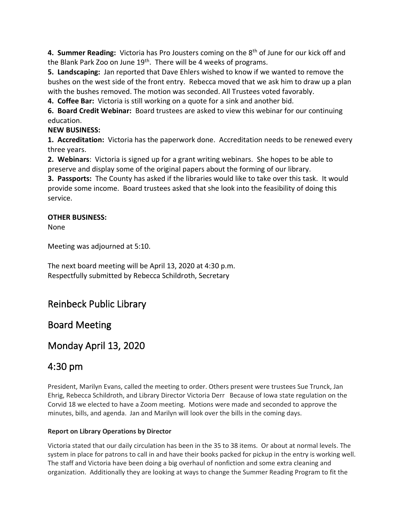**4. Summer Reading:** Victoria has Pro Jousters coming on the 8th of June for our kick off and the Blank Park Zoo on June 19<sup>th</sup>. There will be 4 weeks of programs.

**5. Landscaping:** Jan reported that Dave Ehlers wished to know if we wanted to remove the bushes on the west side of the front entry. Rebecca moved that we ask him to draw up a plan with the bushes removed. The motion was seconded. All Trustees voted favorably.

**4. Coffee Bar:** Victoria is still working on a quote for a sink and another bid.

**6. Board Credit Webinar:** Board trustees are asked to view this webinar for our continuing education.

## **NEW BUSINESS:**

**1. Accreditation:** Victoria has the paperwork done. Accreditation needs to be renewed every three years.

**2. Webinars**: Victoria is signed up for a grant writing webinars. She hopes to be able to preserve and display some of the original papers about the forming of our library.

**3. Passports:** The County has asked if the libraries would like to take over this task. It would provide some income. Board trustees asked that she look into the feasibility of doing this service.

### **OTHER BUSINESS:**

None

Meeting was adjourned at 5:10.

The next board meeting will be April 13, 2020 at 4:30 p.m. Respectfully submitted by Rebecca Schildroth, Secretary

# Reinbeck Public Library

# Board Meeting

# Monday April 13, 2020

# 4:30 pm

President, Marilyn Evans, called the meeting to order. Others present were trustees Sue Trunck, Jan Ehrig, Rebecca Schildroth, and Library Director Victoria Derr Because of Iowa state regulation on the Corvid 18 we elected to have a Zoom meeting. Motions were made and seconded to approve the minutes, bills, and agenda. Jan and Marilyn will look over the bills in the coming days.

### **Report on Library Operations by Director**

Victoria stated that our daily circulation has been in the 35 to 38 items. Or about at normal levels. The system in place for patrons to call in and have their books packed for pickup in the entry is working well. The staff and Victoria have been doing a big overhaul of nonfiction and some extra cleaning and organization. Additionally they are looking at ways to change the Summer Reading Program to fit the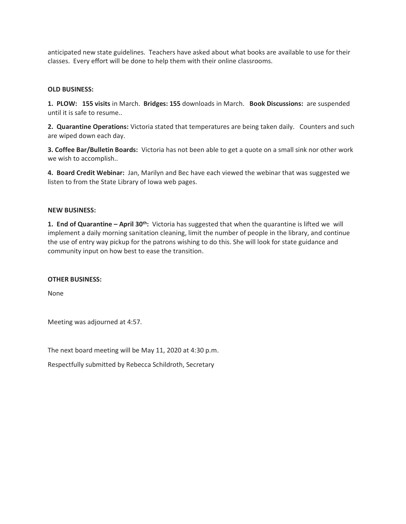anticipated new state guidelines. Teachers have asked about what books are available to use for their classes. Every effort will be done to help them with their online classrooms.

### **OLD BUSINESS:**

**1. PLOW: 155 visits** in March. **Bridges: 155** downloads in March. **Book Discussions:** are suspended until it is safe to resume..

**2. Quarantine Operations:** Victoria stated that temperatures are being taken daily. Counters and such are wiped down each day.

**3. Coffee Bar/Bulletin Boards:** Victoria has not been able to get a quote on a small sink nor other work we wish to accomplish..

**4. Board Credit Webinar:** Jan, Marilyn and Bec have each viewed the webinar that was suggested we listen to from the State Library of Iowa web pages.

### **NEW BUSINESS:**

**1. End of Quarantine – April 30th:** Victoria has suggested that when the quarantine is lifted we will implement a daily morning sanitation cleaning, limit the number of people in the library, and continue the use of entry way pickup for the patrons wishing to do this. She will look for state guidance and community input on how best to ease the transition.

#### **OTHER BUSINESS:**

None

Meeting was adjourned at 4:57.

The next board meeting will be May 11, 2020 at 4:30 p.m.

Respectfully submitted by Rebecca Schildroth, Secretary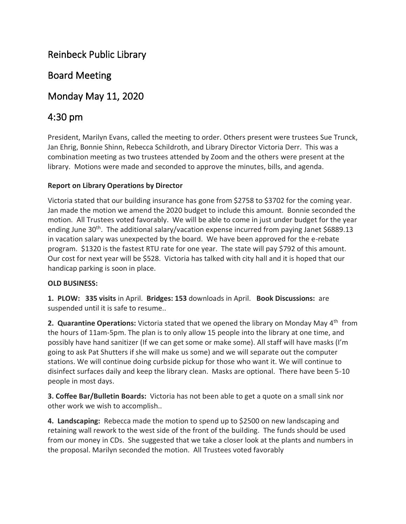# Reinbeck Public Library

# Board Meeting

# Monday May 11, 2020

# 4:30 pm

President, Marilyn Evans, called the meeting to order. Others present were trustees Sue Trunck, Jan Ehrig, Bonnie Shinn, Rebecca Schildroth, and Library Director Victoria Derr. This was a combination meeting as two trustees attended by Zoom and the others were present at the library. Motions were made and seconded to approve the minutes, bills, and agenda.

## **Report on Library Operations by Director**

Victoria stated that our building insurance has gone from \$2758 to \$3702 for the coming year. Jan made the motion we amend the 2020 budget to include this amount. Bonnie seconded the motion. All Trustees voted favorably. We will be able to come in just under budget for the year ending June 30<sup>th</sup>. The additional salary/vacation expense incurred from paying Janet \$6889.13 in vacation salary was unexpected by the board. We have been approved for the e-rebate program. \$1320 is the fastest RTU rate for one year. The state will pay \$792 of this amount. Our cost for next year will be \$528. Victoria has talked with city hall and it is hoped that our handicap parking is soon in place.

### **OLD BUSINESS:**

**1. PLOW: 335 visits** in April. **Bridges: 153** downloads in April. **Book Discussions:** are suspended until it is safe to resume..

**2. Quarantine Operations:** Victoria stated that we opened the library on Monday May 4<sup>th</sup> from the hours of 11am-5pm. The plan is to only allow 15 people into the library at one time, and possibly have hand sanitizer (If we can get some or make some). All staff will have masks (I'm going to ask Pat Shutters if she will make us some) and we will separate out the computer stations. We will continue doing curbside pickup for those who want it. We will continue to disinfect surfaces daily and keep the library clean. Masks are optional. There have been 5-10 people in most days.

**3. Coffee Bar/Bulletin Boards:** Victoria has not been able to get a quote on a small sink nor other work we wish to accomplish..

**4. Landscaping:** Rebecca made the motion to spend up to \$2500 on new landscaping and retaining wall rework to the west side of the front of the building. The funds should be used from our money in CDs. She suggested that we take a closer look at the plants and numbers in the proposal. Marilyn seconded the motion. All Trustees voted favorably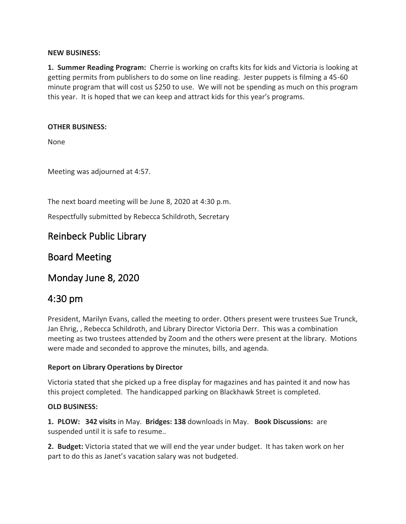### **NEW BUSINESS:**

**1. Summer Reading Program:** Cherrie is working on crafts kits for kids and Victoria is looking at getting permits from publishers to do some on line reading. Jester puppets is filming a 45-60 minute program that will cost us \$250 to use. We will not be spending as much on this program this year. It is hoped that we can keep and attract kids for this year's programs.

### **OTHER BUSINESS:**

None

Meeting was adjourned at 4:57.

The next board meeting will be June 8, 2020 at 4:30 p.m.

Respectfully submitted by Rebecca Schildroth, Secretary

## Reinbeck Public Library

## Board Meeting

## Monday June 8, 2020

# 4:30 pm

President, Marilyn Evans, called the meeting to order. Others present were trustees Sue Trunck, Jan Ehrig, , Rebecca Schildroth, and Library Director Victoria Derr. This was a combination meeting as two trustees attended by Zoom and the others were present at the library. Motions were made and seconded to approve the minutes, bills, and agenda.

### **Report on Library Operations by Director**

Victoria stated that she picked up a free display for magazines and has painted it and now has this project completed. The handicapped parking on Blackhawk Street is completed.

### **OLD BUSINESS:**

**1. PLOW: 342 visits** in May. **Bridges: 138** downloads in May. **Book Discussions:** are suspended until it is safe to resume..

**2. Budget:** Victoria stated that we will end the year under budget. It has taken work on her part to do this as Janet's vacation salary was not budgeted.